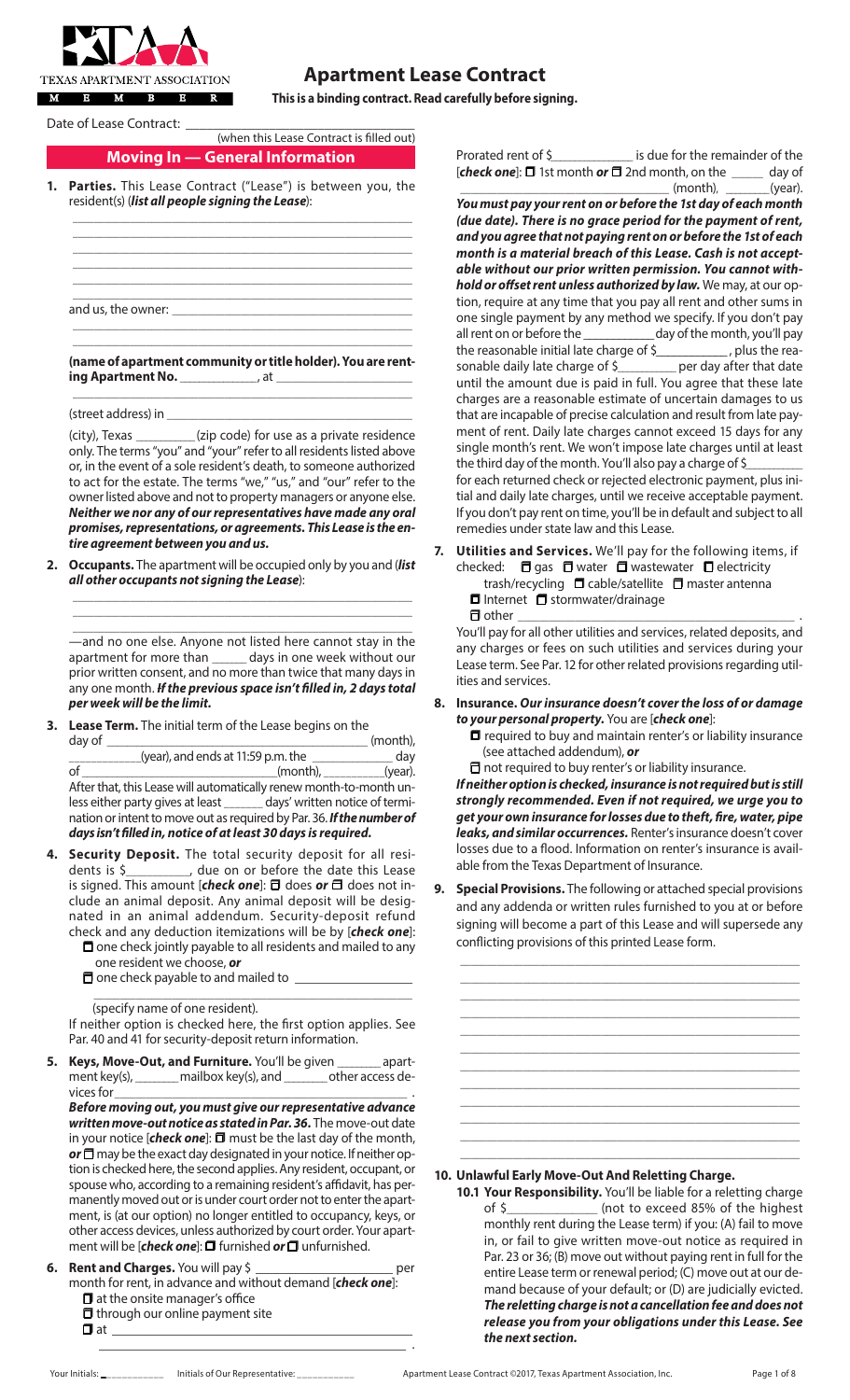

# **Apartment Lease Contract**

**This is a binding contract. Read carefully before signing.**

Date of Lease Contract: \_

# (when this Lease Contract is filled out)

# **Moving In — General Information**

Parties. This Lease Contract ("Lease") is between you, the resident(s) (*list all people signing the Lease*):

\_\_\_\_\_\_\_\_\_\_\_\_\_\_\_\_\_\_\_\_\_\_\_\_\_\_\_\_\_\_\_\_\_\_\_\_\_\_\_\_\_\_\_\_\_\_\_\_\_\_\_\_\_\_\_\_\_\_\_\_\_\_\_\_\_ **(name of apartment community or title holder). You are renting Apartment No.** \_\_\_\_\_\_\_\_\_\_\_\_\_\_\_, at \_\_ \_\_\_\_\_\_\_\_\_\_\_\_\_\_\_\_\_\_\_\_\_\_\_\_\_\_\_\_\_\_\_\_\_\_\_\_\_\_\_\_\_\_\_\_\_\_\_\_\_\_\_\_\_\_\_\_\_\_\_\_\_\_\_\_\_

(street address) in

(city), Texas \_\_\_\_\_\_\_\_\_\_\_\_ (zip code) for use as a private residence only. The terms "you" and "your" refer to all residents listed above or, in the event of a sole resident's death, to someone authorized to act for the estate. The terms "we," "us," and "our" refer to the owner listed above and not to property managers or anyone else. *Neither we nor any of our representatives have made any oral promises, representations, or agreements. This Lease is the entire agreement between you and us.*

**2. Occupants.** The apartment will be occupied only by you and (*list all other occupants not signing the Lease*):

\_\_\_\_\_\_\_\_\_\_\_\_\_\_\_\_\_\_\_\_\_\_\_\_\_\_\_\_\_\_\_\_\_\_\_\_\_\_\_\_\_\_\_\_\_\_\_\_\_\_\_\_\_\_\_\_\_\_\_\_\_\_\_\_\_ —and no one else. Anyone not listed here cannot stay in the apartment for more than \_\_\_\_\_\_\_ days in one week without our prior written consent, and no more than twice that many days in any one month. *If the previous space isn't filled in, 2 days total per week will be the limit.*

\_\_\_\_\_\_\_\_\_\_\_\_\_\_\_\_\_\_\_\_\_\_\_\_\_\_\_\_\_\_\_\_\_\_\_\_\_\_\_\_\_\_\_\_\_\_\_\_\_\_\_\_\_\_\_\_\_\_\_\_\_\_\_\_\_  $\_$  , and the set of the set of the set of the set of the set of the set of the set of the set of the set of the set of the set of the set of the set of the set of the set of the set of the set of the set of the set of th

**3. Lease Term.** The initial term of the Lease begins on the

| day of                                                                  |          | (month), |
|-------------------------------------------------------------------------|----------|----------|
| (year), and ends at 11:59 p.m. the                                      |          | day      |
| of                                                                      | (month), | (year).  |
| After that, this Lease will automatically renew month-to-month un-      |          |          |
| less either party gives at least _______ days' written notice of termi- |          |          |
| nation or intent to move out as required by Par. 36. If the number of   |          |          |
| days isn't filled in, notice of at least 30 days is required.           |          |          |

- **4. Security Deposit.** The total security deposit for all residents is \$\_\_\_\_\_\_\_\_\_\_\_\_, due on or before the date this Lease is signed. This amount [check one]: a does or a does not include an animal deposit. Any animal deposit will be designated in an animal addendum. Security-deposit refund check and any deduction itemizations will be by [*check one*]:
	- $\square$  one check jointly payable to all residents and mailed to any one resident we choose, *or*

\_\_\_\_\_\_\_\_\_\_\_\_\_\_\_\_\_\_\_\_\_\_\_\_\_\_\_\_\_\_\_\_\_\_\_\_\_\_\_\_\_\_\_\_\_\_\_\_\_\_\_\_\_\_\_\_\_\_\_\_\_

 $\Box$  one check payable to and mailed to  $\Box$ 

(specify name of one resident).

If neither option is checked here, the first option applies. See Par. 40 and 41 for security-deposit return information.

**5. Keys, Move-Out, and Furniture.** You'll be given \_\_\_\_\_\_\_ apart-<br>ment key(s), \_\_\_\_\_\_\_ mailbox key(s), and \_\_\_\_\_\_\_ other access demailbox key(s), and \_\_\_\_\_\_\_\_ other access devices for

*Before moving out, you must give our representative advance written move-out notice as stated in Par. 36.* The move-out date in your notice [*check one*]:  $\Box$  must be the last day of the month, **or**  $\Box$  may be the exact day designated in your notice. If neither option is checked here, the second applies. Any resident, occupant, or spouse who, according to a remaining resident's affidavit, has permanently moved out or is under court order not to enter the apartment, is (at our option) no longer entitled to occupancy, keys, or other access devices, unless authorized by court order. Your apartment will be [*check one*]:  $\Box$  furnished *or*  $\Box$  unfurnished.

**6. Rent and Charges.** You will pay \$ \_\_\_\_\_\_\_\_\_\_\_\_\_\_\_\_\_\_\_\_\_ per month for rent, in advance and without demand [*check one*]:  $\Box$  at the onsite manager's office

\_\_\_\_\_\_\_\_\_\_\_\_\_\_\_\_\_\_\_\_\_\_\_\_\_\_\_\_\_\_\_\_\_\_\_\_\_\_\_\_\_\_\_\_\_\_\_ .

 $\Box$  through our online payment site

r at \_\_\_\_\_\_\_\_\_\_\_\_\_\_\_\_\_\_\_\_\_\_\_\_\_\_\_\_\_\_\_\_\_\_\_\_\_\_\_\_\_\_\_\_\_\_

Prorated rent of S<br>
Frorated rent of S [*check one*]:  $\Box$  1st month *or*  $\Box$  2nd month, on the \_\_\_\_\_ day of  $\_$  (month),  $\_\_\_\_\_\_\_\_\_\_\_\_\_\_\_\_\_\_\_\_$ 

*You must pay your rent on or before the 1st day of each month (due date). There is no grace period for the payment of rent, and you agree that not paying rent on or before the 1st of each month is a material breach of this Lease. Cash is not acceptable without our prior written permission. You cannot withhold or offset rent unless authorized by law.* We may, at our option, require at any time that you pay all rent and other sums in one single payment by any method we specify. If you don't pay all rent on or before the \_\_\_\_\_\_\_\_\_\_\_\_ day of the month, you'll pay the reasonable initial late charge of \$\_\_\_\_\_\_\_\_\_\_\_, plus the reasonable daily late charge of \$\_\_\_\_\_\_\_\_\_\_\_ per day after that date sonable daily late charge of \$ until the amount due is paid in full. You agree that these late charges are a reasonable estimate of uncertain damages to us that are incapable of precise calculation and result from late payment of rent. Daily late charges cannot exceed 15 days for any single month's rent. We won't impose late charges until at least the third day of the month. You'll also pay a charge of \$\_ for each returned check or rejected electronic payment, plus ini-

tial and daily late charges, until we receive acceptable payment. If you don't pay rent on time, you'll be in default and subject to all remedies under state law and this Lease.

**7. Utilities and Services.** We'll pay for the following items, if checked:  $\Box$  gas  $\Box$  water  $\Box$  wastewater  $\Box$  electricity trash/recycling  $\Box$  cable/satellite  $\Box$  master antenna  $\Box$  Internet  $\Box$  stormwater/drainage  $\Box$  other

You'll pay for all other utilities and services, related deposits, and any charges or fees on such utilities and services during your Lease term. See Par. 12 for other related provisions regarding utilities and services.

- **8. Insurance.** *Our insurance doesn't cover the loss of or damage to your personal property.* You are [*check one*]:
	- $\Box$  required to buy and maintain renter's or liability insurance (see attached addendum), *or*
	- $\Box$  not required to buy renter's or liability insurance.

*If neither option is checked, insurance is not required but is still strongly recommended. Even if not required, we urge you to get your own insurance for losses due to theft, fire, water, pipe leaks, and similar occurrences.* Renter's insurance doesn't cover losses due to a flood. Information on renter's insurance is available from the Texas Department of Insurance.

**9. Special Provisions.** The following or attached special provisions and any addenda or written rules furnished to you at or before signing will become a part of this Lease and will supersede any conflicting provisions of this printed Lease form.

 $\_$  , and the set of the set of the set of the set of the set of the set of the set of the set of the set of the set of the set of the set of the set of the set of the set of the set of the set of the set of the set of th \_\_\_\_\_\_\_\_\_\_\_\_\_\_\_\_\_\_\_\_\_\_\_\_\_\_\_\_\_\_\_\_\_\_\_\_\_\_\_\_\_\_\_\_\_\_\_\_\_\_\_\_\_\_\_\_\_\_\_\_\_\_\_\_\_ \_\_\_\_\_\_\_\_\_\_\_\_\_\_\_\_\_\_\_\_\_\_\_\_\_\_\_\_\_\_\_\_\_\_\_\_\_\_\_\_\_\_\_\_\_\_\_\_\_\_\_\_\_\_\_\_\_\_\_\_\_\_\_\_\_ \_\_\_\_\_\_\_\_\_\_\_\_\_\_\_\_\_\_\_\_\_\_\_\_\_\_\_\_\_\_\_\_\_\_\_\_\_\_\_\_\_\_\_\_\_\_\_\_\_\_\_\_\_\_\_\_\_\_\_\_\_\_\_\_\_  $\_$  , and the set of the set of the set of the set of the set of the set of the set of the set of the set of the set of the set of the set of the set of the set of the set of the set of the set of the set of the set of th \_\_\_\_\_\_\_\_\_\_\_\_\_\_\_\_\_\_\_\_\_\_\_\_\_\_\_\_\_\_\_\_\_\_\_\_\_\_\_\_\_\_\_\_\_\_\_\_\_\_\_\_\_\_\_\_\_\_\_\_\_\_\_\_\_ \_\_\_\_\_\_\_\_\_\_\_\_\_\_\_\_\_\_\_\_\_\_\_\_\_\_\_\_\_\_\_\_\_\_\_\_\_\_\_\_\_\_\_\_\_\_\_\_\_\_\_\_\_\_\_\_\_\_\_\_\_\_\_\_\_ \_\_\_\_\_\_\_\_\_\_\_\_\_\_\_\_\_\_\_\_\_\_\_\_\_\_\_\_\_\_\_\_\_\_\_\_\_\_\_\_\_\_\_\_\_\_\_\_\_\_\_\_\_\_\_\_\_\_\_\_\_\_\_\_\_ \_\_\_\_\_\_\_\_\_\_\_\_\_\_\_\_\_\_\_\_\_\_\_\_\_\_\_\_\_\_\_\_\_\_\_\_\_\_\_\_\_\_\_\_\_\_\_\_\_\_\_\_\_\_\_\_\_\_\_\_\_\_\_\_\_  $\_$  , and the set of the set of the set of the set of the set of the set of the set of the set of the set of the set of the set of the set of the set of the set of the set of the set of the set of the set of the set of th \_\_\_\_\_\_\_\_\_\_\_\_\_\_\_\_\_\_\_\_\_\_\_\_\_\_\_\_\_\_\_\_\_\_\_\_\_\_\_\_\_\_\_\_\_\_\_\_\_\_\_\_\_\_\_\_\_\_\_\_\_\_\_\_\_ \_\_\_\_\_\_\_\_\_\_\_\_\_\_\_\_\_\_\_\_\_\_\_\_\_\_\_\_\_\_\_\_\_\_\_\_\_\_\_\_\_\_\_\_\_\_\_\_\_\_\_\_\_\_\_\_\_\_\_\_\_\_\_\_\_

### **10. Unlawful Early Move-Out And Reletting Charge.**

**10.1 Your Responsibility.** You'll be liable for a reletting charge of \$\_\_\_\_\_\_\_\_\_\_\_\_\_\_\_\_\_\_ (not to exceed 85% of the highest monthly rent during the Lease term) if you: (A) fail to move in, or fail to give written move-out notice as required in Par. 23 or 36; (B) move out without paying rent in full for the entire Lease term or renewal period; (C) move out at our demand because of your default; or (D) are judicially evicted. *The reletting charge is not a cancellation fee and does not release you from your obligations under this Lease. See the next section.*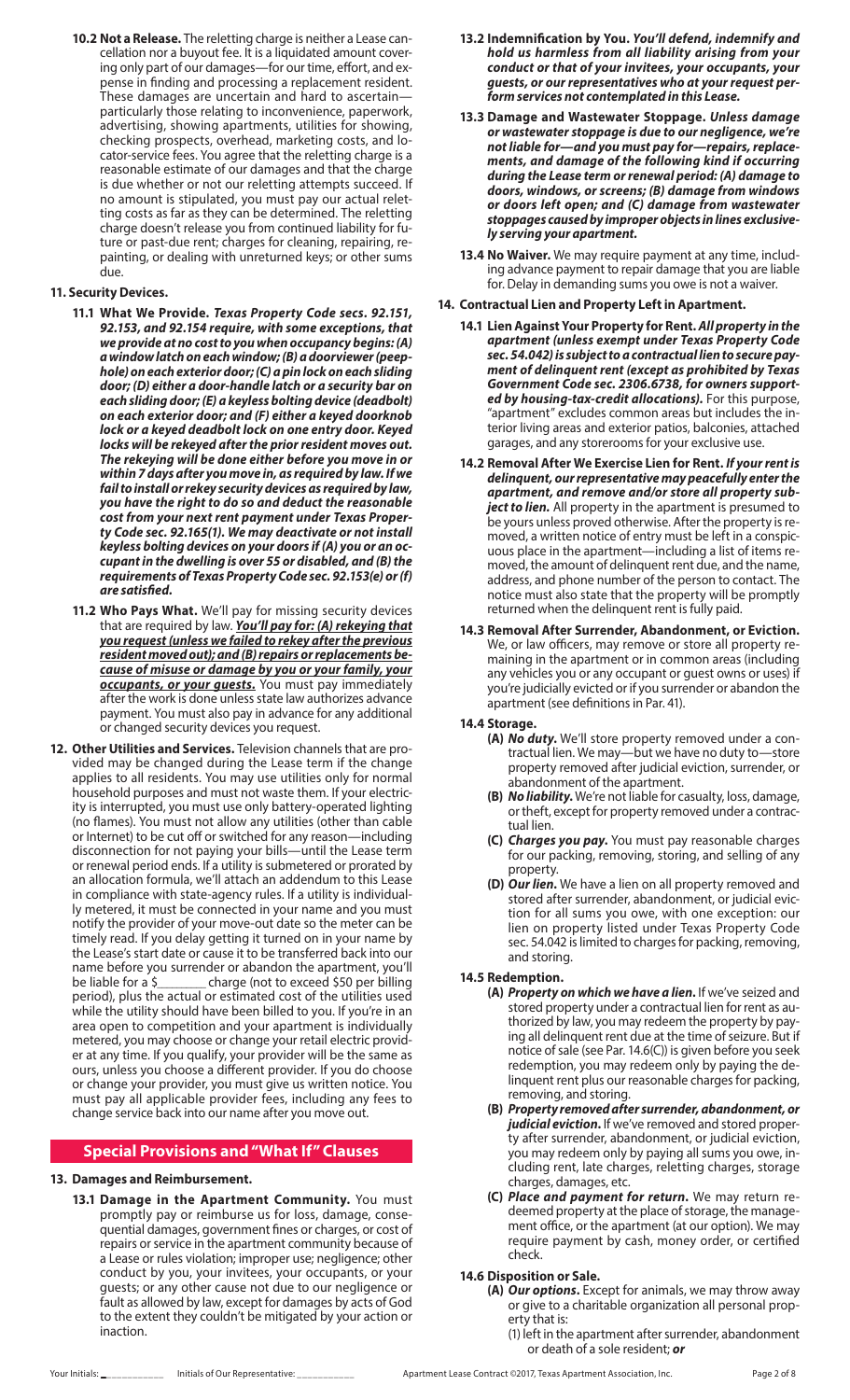**10.2 Not a Release.** The reletting charge is neither a Lease cancellation nor a buyout fee. It is a liquidated amount covering only part of our damages—for our time, effort, and expense in finding and processing a replacement resident. These damages are uncertain and hard to ascertain particularly those relating to inconvenience, paperwork, advertising, showing apartments, utilities for showing, checking prospects, overhead, marketing costs, and locator-service fees. You agree that the reletting charge is a reasonable estimate of our damages and that the charge is due whether or not our reletting attempts succeed. If no amount is stipulated, you must pay our actual reletting costs as far as they can be determined. The reletting charge doesn't release you from continued liability for future or past-due rent; charges for cleaning, repairing, repainting, or dealing with unreturned keys; or other sums due.

### **11. Security Devices.**

- **11.1 What We Provide.** *Texas Property Code secs. 92.151, 92.153, and 92.154 require, with some exceptions, that we provide at no cost to you when occupancy begins: (A) a window latch on each window; (B) a doorviewer (peephole) on each exterior door; (C) a pin lock on each sliding door; (D) either a door-handle latch or a security bar on each sliding door; (E) a keyless bolting device (deadbolt) on each exterior door; and (F) either a keyed doorknob lock or a keyed deadbolt lock on one entry door. Keyed locks will be rekeyed after the prior resident moves out. The rekeying will be done either before you move in or within 7 days after you move in, as required by law. If we fail to install or rekey security devices as required by law, you have the right to do so and deduct the reasonable cost from your next rent payment under Texas Property Code sec. 92.165(1). We may deactivate or not install keyless bolting devices on your doors if (A) you or an occupant in the dwelling is over 55 or disabled, and (B) the requirements of Texas Property Code sec. 92.153(e) or (f) are satisfied.*
- **11.2 Who Pays What.** We'll pay for missing security devices that are required by law. *You'll pay for: (A) rekeying that you request (unless we failed to rekey after the previous resident moved out); and (B) repairs or replacements because of misuse or damage by you or your family, your occupants, or your guests.* You must pay immediately after the work is done unless state law authorizes advance payment. You must also pay in advance for any additional or changed security devices you request.
- **12. Other Utilities and Services.** Television channels that are provided may be changed during the Lease term if the change applies to all residents. You may use utilities only for normal household purposes and must not waste them. If your electricity is interrupted, you must use only battery-operated lighting (no flames). You must not allow any utilities (other than cable or Internet) to be cut off or switched for any reason—including disconnection for not paying your bills—until the Lease term or renewal period ends. If a utility is submetered or prorated by an allocation formula, we'll attach an addendum to this Lease in compliance with state-agency rules. If a utility is individually metered, it must be connected in your name and you must notify the provider of your move-out date so the meter can be timely read. If you delay getting it turned on in your name by the Lease's start date or cause it to be transferred back into our name before you surrender or abandon the apartment, you'll be liable for a \$\_\_\_\_\_\_\_\_\_\_ charge (not to exceed \$50 per billing period), plus the actual or estimated cost of the utilities used while the utility should have been billed to you. If you're in an area open to competition and your apartment is individually metered, you may choose or change your retail electric provider at any time. If you qualify, your provider will be the same as ours, unless you choose a different provider. If you do choose or change your provider, you must give us written notice. You must pay all applicable provider fees, including any fees to change service back into our name after you move out.

# **Special Provisions and "What If" Clauses**

#### **13. Damages and Reimbursement.**

**13.1 Damage in the Apartment Community.** You must promptly pay or reimburse us for loss, damage, consequential damages, government fines or charges, or cost of repairs or service in the apartment community because of a Lease or rules violation; improper use; negligence; other conduct by you, your invitees, your occupants, or your guests; or any other cause not due to our negligence or fault as allowed by law, except for damages by acts of God to the extent they couldn't be mitigated by your action or inaction.

- **13.2 Indemnification by You.** *You'll defend, indemnify and hold us harmless from all liability arising from your conduct or that of your invitees, your occupants, your guests, or our representatives who at your request perform services not contemplated in this Lease.*
- **13.3 Damage and Wastewater Stoppage.** *Unless damage or wastewater stoppage is due to our negligence, we're not liable for—and you must pay for—repairs, replacements, and damage of the following kind if occurring during the Lease term or renewal period: (A) damage to doors, windows, or screens; (B) damage from windows or doors left open; and (C) damage from wastewater stoppages caused by improper objects in lines exclusively serving your apartment.*
- **13.4 No Waiver.** We may require payment at any time, including advance payment to repair damage that you are liable for. Delay in demanding sums you owe is not a waiver.

#### **14. Contractual Lien and Property Left in Apartment.**

- **14.1 Lien Against Your Property for Rent.** *All property in the apartment (unless exempt under Texas Property Code sec. 54.042) is subject to a contractual lien to secure payment of delinquent rent (except as prohibited by Texas Government Code sec. 2306.6738, for owners supported by housing-tax-credit allocations).* For this purpose, "apartment" excludes common areas but includes the interior living areas and exterior patios, balconies, attached garages, and any storerooms for your exclusive use.
- **14.2 Removal After We Exercise Lien for Rent.** *If your rent is delinquent, our representative may peacefully enter the apartment, and remove and/or store all property subject to lien.* All property in the apartment is presumed to be yours unless proved otherwise. After the property is removed, a written notice of entry must be left in a conspicuous place in the apartment—including a list of items removed, the amount of delinquent rent due, and the name, address, and phone number of the person to contact. The notice must also state that the property will be promptly returned when the delinquent rent is fully paid.
- **14.3 Removal After Surrender, Abandonment, or Eviction.** We, or law officers, may remove or store all property remaining in the apartment or in common areas (including any vehicles you or any occupant or guest owns or uses) if you're judicially evicted or if you surrender or abandon the apartment (see definitions in Par. 41).

#### **14.4 Storage.**

- **(A)** *No duty***.** We'll store property removed under a contractual lien. We may—but we have no duty to—store property removed after judicial eviction, surrender, or abandonment of the apartment.
- **(B)** *No liability***.** We're not liable for casualty, loss, damage, or theft, except for property removed under a contractual lien.
- **(C)** *Charges you pay***.** You must pay reasonable charges for our packing, removing, storing, and selling of any property.
- **(D)** *Our lien***.** We have a lien on all property removed and stored after surrender, abandonment, or judicial eviction for all sums you owe, with one exception: our lien on property listed under Texas Property Code sec. 54.042 is limited to charges for packing, removing, and storing.

#### **14.5 Redemption.**

- **(A)** *Property on which we have a lien***.** If we've seized and stored property under a contractual lien for rent as authorized by law, you may redeem the property by paying all delinquent rent due at the time of seizure. But if notice of sale (see Par. 14.6(C)) is given before you seek redemption, you may redeem only by paying the delinquent rent plus our reasonable charges for packing, removing, and storing.
- **(B)** *Property removed after surrender, abandonment, or judicial eviction***.** If we've removed and stored property after surrender, abandonment, or judicial eviction, you may redeem only by paying all sums you owe, including rent, late charges, reletting charges, storage charges, damages, etc.
- **(C)** *Place and payment for return***.** We may return redeemed property at the place of storage, the management office, or the apartment (at our option). We may require payment by cash, money order, or certified check.

# **14.6 Disposition or Sale.**

- **(A)** *Our options***.** Except for animals, we may throw away or give to a charitable organization all personal property that is:
	- (1) left in the apartment after surrender, abandonment or death of a sole resident; *or*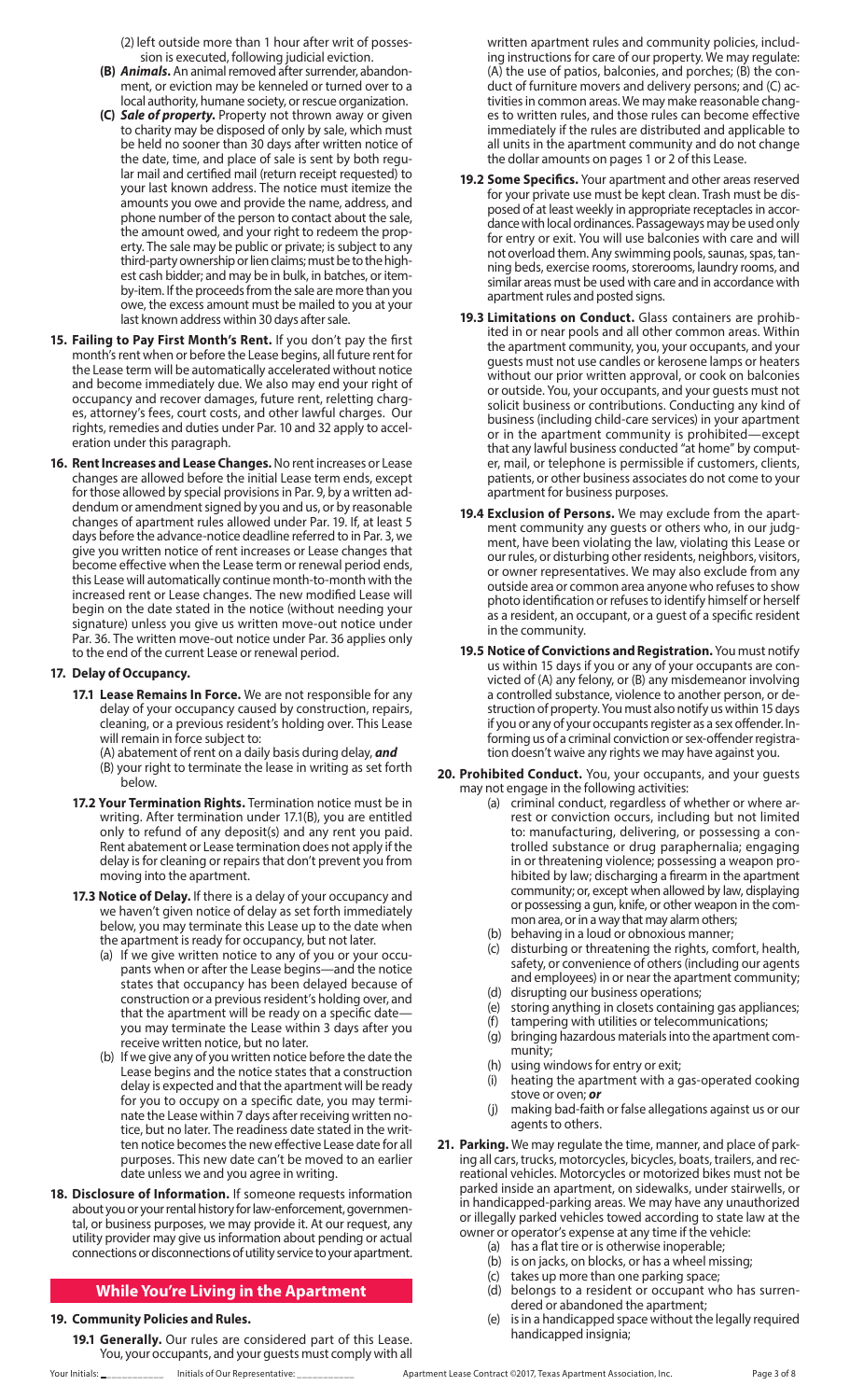(2) left outside more than 1 hour after writ of possession is executed, following judicial eviction.

- **(B)** *Animals***.** An animal removed after surrender, abandonment, or eviction may be kenneled or turned over to a local authority, humane society, or rescue organization.
- **(C)** *Sale of property***.** Property not thrown away or given to charity may be disposed of only by sale, which must be held no sooner than 30 days after written notice of the date, time, and place of sale is sent by both regular mail and certified mail (return receipt requested) to your last known address. The notice must itemize the amounts you owe and provide the name, address, and phone number of the person to contact about the sale, the amount owed, and your right to redeem the property. The sale may be public or private; is subject to any third-party ownership or lien claims; must be to the highest cash bidder; and may be in bulk, in batches, or itemby-item. If the proceeds from the sale are more than you owe, the excess amount must be mailed to you at your last known address within 30 days after sale.
- **15. Failing to Pay First Month's Rent.** If you don't pay the first month's rent when or before the Lease begins, all future rent for the Lease term will be automatically accelerated without notice and become immediately due. We also may end your right of occupancy and recover damages, future rent, reletting charges, attorney's fees, court costs, and other lawful charges. Our rights, remedies and duties under Par. 10 and 32 apply to acceleration under this paragraph.
- **16. Rent Increases and Lease Changes.** No rent increases or Lease changes are allowed before the initial Lease term ends, except for those allowed by special provisions in Par. 9, by a written addendum or amendment signed by you and us, or by reasonable changes of apartment rules allowed under Par. 19. If, at least 5 days before the advance-notice deadline referred to in Par. 3, we give you written notice of rent increases or Lease changes that become effective when the Lease term or renewal period ends, this Lease will automatically continue month-to-month with the increased rent or Lease changes. The new modified Lease will begin on the date stated in the notice (without needing your signature) unless you give us written move-out notice under Par. 36. The written move-out notice under Par. 36 applies only to the end of the current Lease or renewal period.

# **17. Delay of Occupancy.**

- **17.1 Lease Remains In Force.** We are not responsible for any delay of your occupancy caused by construction, repairs, cleaning, or a previous resident's holding over. This Lease will remain in force subject to:
	- (A) abatement of rent on a daily basis during delay, *and* (B) your right to terminate the lease in writing as set forth
- below. **17.2 Your Termination Rights.** Termination notice must be in writing. After termination under 17.1(B), you are entitled only to refund of any deposit(s) and any rent you paid. Rent abatement or Lease termination does not apply if the delay is for cleaning or repairs that don't prevent you from moving into the apartment.
- **17.3 Notice of Delay.** If there is a delay of your occupancy and we haven't given notice of delay as set forth immediately below, you may terminate this Lease up to the date when the apartment is ready for occupancy, but not later.
	- (a) If we give written notice to any of you or your occupants when or after the Lease begins—and the notice states that occupancy has been delayed because of construction or a previous resident's holding over, and that the apartment will be ready on a specific date you may terminate the Lease within 3 days after you receive written notice, but no later.
	- (b) If we give any of you written notice before the date the Lease begins and the notice states that a construction delay is expected and that the apartment will be ready for you to occupy on a specific date, you may terminate the Lease within 7 days after receiving written notice, but no later. The readiness date stated in the written notice becomes the new effective Lease date for all purposes. This new date can't be moved to an earlier date unless we and you agree in writing.
- **18. Disclosure of Information.** If someone requests information about you or your rental history for law-enforcement, governmental, or business purposes, we may provide it. At our request, any utility provider may give us information about pending or actual connections or disconnections of utility service to your apartment.

# **While You're Living in the Apartment**

### **19. Community Policies and Rules.**

**19.1 Generally.** Our rules are considered part of this Lease. You, your occupants, and your guests must comply with all written apartment rules and community policies, including instructions for care of our property. We may regulate: (A) the use of patios, balconies, and porches; (B) the conduct of furniture movers and delivery persons; and (C) activities in common areas. We may make reasonable changes to written rules, and those rules can become effective immediately if the rules are distributed and applicable to all units in the apartment community and do not change the dollar amounts on pages 1 or 2 of this Lease.

- **19.2 Some Specifics.** Your apartment and other areas reserved for your private use must be kept clean. Trash must be disposed of at least weekly in appropriate receptacles in accordance with local ordinances. Passageways may be used only for entry or exit. You will use balconies with care and will not overload them. Any swimming pools, saunas, spas, tanning beds, exercise rooms, storerooms, laundry rooms, and similar areas must be used with care and in accordance with apartment rules and posted signs.
- **19.3 Limitations on Conduct.** Glass containers are prohibited in or near pools and all other common areas. Within the apartment community, you, your occupants, and your guests must not use candles or kerosene lamps or heaters without our prior written approval, or cook on balconies or outside. You, your occupants, and your guests must not solicit business or contributions. Conducting any kind of business (including child-care services) in your apartment or in the apartment community is prohibited—except that any lawful business conducted "at home" by computer, mail, or telephone is permissible if customers, clients, patients, or other business associates do not come to your apartment for business purposes.
- **19.4 Exclusion of Persons.** We may exclude from the apartment community any guests or others who, in our judgment, have been violating the law, violating this Lease or our rules, or disturbing other residents, neighbors, visitors, or owner representatives. We may also exclude from any outside area or common area anyone who refuses to show photo identification or refuses to identify himself or herself as a resident, an occupant, or a guest of a specific resident in the community.
- **19.5 Notice of Convictions and Registration.** You must notify us within 15 days if you or any of your occupants are convicted of (A) any felony, or (B) any misdemeanor involving a controlled substance, violence to another person, or destruction of property. You must also notify us within 15 days if you or any of your occupants register as a sex offender. Informing us of a criminal conviction or sex-offender registration doesn't waive any rights we may have against you.
- **20. Prohibited Conduct.** You, your occupants, and your guests may not engage in the following activities:
	- (a) criminal conduct, regardless of whether or where arrest or conviction occurs, including but not limited to: manufacturing, delivering, or possessing a controlled substance or drug paraphernalia; engaging in or threatening violence; possessing a weapon prohibited by law; discharging a firearm in the apartment community; or, except when allowed by law, displaying or possessing a gun, knife, or other weapon in the common area, or in a way that may alarm others;
	- (b) behaving in a loud or obnoxious manner;
	- (c) disturbing or threatening the rights, comfort, health, safety, or convenience of others (including our agents and employees) in or near the apartment community;
	- (d) disrupting our business operations;
	- (e) storing anything in closets containing gas appliances;
	- (f) tampering with utilities or telecommunications; (g) bringing hazardous materials into the apartment com-
	- munity; (h) using windows for entry or exit;
	- (i) heating the apartment with a gas-operated cooking stove or oven; *or*
	- (j) making bad-faith or false allegations against us or our agents to others.
- **21. Parking.** We may regulate the time, manner, and place of parking all cars, trucks, motorcycles, bicycles, boats, trailers, and recreational vehicles. Motorcycles or motorized bikes must not be parked inside an apartment, on sidewalks, under stairwells, or in handicapped-parking areas. We may have any unauthorized or illegally parked vehicles towed according to state law at the owner or operator's expense at any time if the vehicle:
	- (a) has a flat tire or is otherwise inoperable;
	- (b) is on jacks, on blocks, or has a wheel missing;
	- (c) takes up more than one parking space;
	- (d) belongs to a resident or occupant who has surrendered or abandoned the apartment;
	- (e) is in a handicapped space without the legally required handicapped insignia;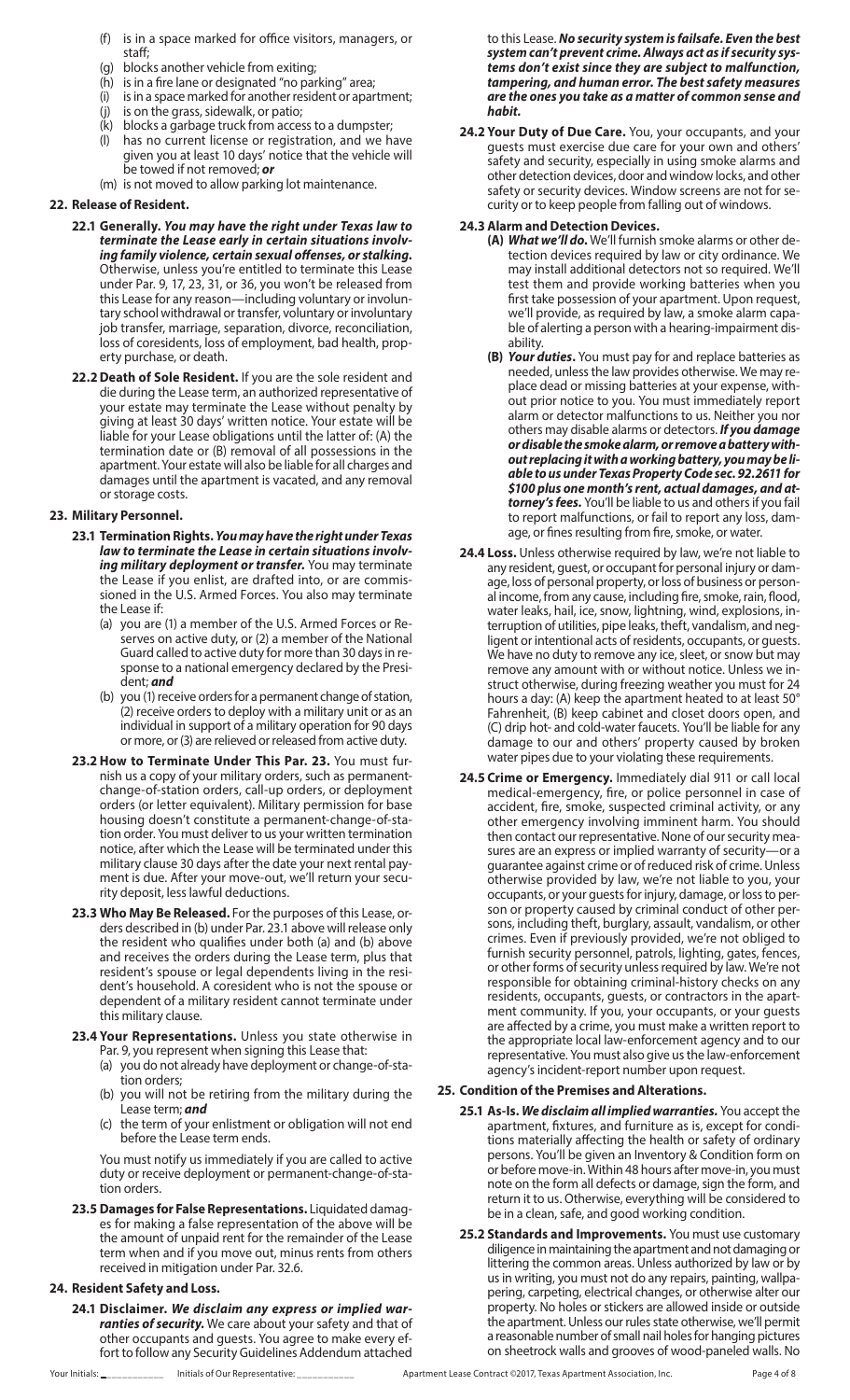- (f) is in a space marked for office visitors, managers, or staff;
- (g) blocks another vehicle from exiting;
- (h) is in a fire lane or designated "no parking" area;
- (i) is in a space marked for another resident or apartment;
- (j) is on the grass, sidewalk, or patio;
- $(k)$  blocks a garbage truck from access to a dumpster;<br>(I) has no current license or registration, and we ha
- has no current license or registration, and we have given you at least 10 days' notice that the vehicle will be towed if not removed; *or*
- (m) is not moved to allow parking lot maintenance.

#### **22. Release of Resident.**

- **22.1 Generally.** *You may have the right under Texas law to terminate the Lease early in certain situations involving family violence, certain sexual offenses, or stalking.* Otherwise, unless you're entitled to terminate this Lease under Par. 9, 17, 23, 31, or 36, you won't be released from this Lease for any reason—including voluntary or involuntary school withdrawal or transfer, voluntary or involuntary job transfer, marriage, separation, divorce, reconciliation, loss of coresidents, loss of employment, bad health, property purchase, or death.
- **22.2Death of Sole Resident.** If you are the sole resident and die during the Lease term, an authorized representative of your estate may terminate the Lease without penalty by giving at least 30 days' written notice. Your estate will be liable for your Lease obligations until the latter of: (A) the termination date or (B) removal of all possessions in the apartment. Your estate will also be liable for all charges and damages until the apartment is vacated, and any removal or storage costs.

### **23. Military Personnel.**

- **23.1 Termination Rights.** *You may have the right under Texas law to terminate the Lease in certain situations involving military deployment or transfer.* You may terminate the Lease if you enlist, are drafted into, or are commissioned in the U.S. Armed Forces. You also may terminate the Lease if:
	- (a) you are (1) a member of the U.S. Armed Forces or Reserves on active duty, or (2) a member of the National Guard called to active duty for more than 30 days in response to a national emergency declared by the President; *and*
	- (b) you (1) receive orders for a permanent change of station, (2) receive orders to deploy with a military unit or as an individual in support of a military operation for 90 days or more, or (3) are relieved or released from active duty.
- **23.2 How to Terminate Under This Par. 23.** You must furnish us a copy of your military orders, such as permanentchange-of-station orders, call-up orders, or deployment orders (or letter equivalent). Military permission for base housing doesn't constitute a permanent-change-of-station order. You must deliver to us your written termination notice, after which the Lease will be terminated under this military clause 30 days after the date your next rental payment is due. After your move-out, we'll return your security deposit, less lawful deductions.
- **23.3 Who May Be Released.** For the purposes of this Lease, orders described in (b) under Par. 23.1 above will release only the resident who qualifies under both (a) and (b) above and receives the orders during the Lease term, plus that resident's spouse or legal dependents living in the resident's household. A coresident who is not the spouse or dependent of a military resident cannot terminate under this military clause.
- **23.4 Your Representations.** Unless you state otherwise in Par. 9, you represent when signing this Lease that:
	- (a) you do not already have deployment or change-of-station orders;
	- (b) you will not be retiring from the military during the Lease term; *and*
	- (c) the term of your enlistment or obligation will not end before the Lease term ends.

You must notify us immediately if you are called to active duty or receive deployment or permanent-change-of-station orders.

**23.5 Damages for False Representations.** Liquidated damages for making a false representation of the above will be the amount of unpaid rent for the remainder of the Lease term when and if you move out, minus rents from others received in mitigation under Par. 32.6.

# **24. Resident Safety and Loss.**

**24.1 Disclaimer.** *We disclaim any express or implied warranties of security.* We care about your safety and that of other occupants and guests. You agree to make every effort to follow any Security Guidelines Addendum attached to this Lease. *No security system is failsafe. Even the best system can't prevent crime. Always act as if security systems don't exist since they are subject to malfunction, tampering, and human error. The best safety measures are the ones you take as a matter of common sense and habit.*

**24.2 Your Duty of Due Care.** You, your occupants, and your guests must exercise due care for your own and others' safety and security, especially in using smoke alarms and other detection devices, door and window locks, and other safety or security devices. Window screens are not for security or to keep people from falling out of windows.

#### **24.3 Alarm and Detection Devices.**

- **(A)** *What we'll do***.** We'll furnish smoke alarms or other detection devices required by law or city ordinance. We may install additional detectors not so required. We'll test them and provide working batteries when you first take possession of your apartment. Upon request, we'll provide, as required by law, a smoke alarm capable of alerting a person with a hearing-impairment disability.
- **(B)** *Your duties***.** You must pay for and replace batteries as needed, unless the law provides otherwise. We may replace dead or missing batteries at your expense, without prior notice to you. You must immediately report alarm or detector malfunctions to us. Neither you nor others may disable alarms or detectors. *If you damage or disable the smoke alarm, or remove a battery without replacing it with a working battery, you may be liable to us under Texas Property Code sec. 92.2611 for \$100 plus one month's rent, actual damages, and attorney's fees.* You'll be liable to us and others if you fail to report malfunctions, or fail to report any loss, damage, or fines resulting from fire, smoke, or water.
- **24.4 Loss.** Unless otherwise required by law, we're not liable to any resident, guest, or occupant for personal injury or damage, loss of personal property, or loss of business or personal income, from any cause, including fire, smoke, rain, flood, water leaks, hail, ice, snow, lightning, wind, explosions, interruption of utilities, pipe leaks, theft, vandalism, and negligent or intentional acts of residents, occupants, or guests. We have no duty to remove any ice, sleet, or snow but may remove any amount with or without notice. Unless we instruct otherwise, during freezing weather you must for 24 hours a day: (A) keep the apartment heated to at least 50° Fahrenheit, (B) keep cabinet and closet doors open, and (C) drip hot- and cold-water faucets. You'll be liable for any damage to our and others' property caused by broken water pipes due to your violating these requirements.
- **24.5 Crime or Emergency.** Immediately dial 911 or call local medical-emergency, fire, or police personnel in case of accident, fire, smoke, suspected criminal activity, or any other emergency involving imminent harm. You should then contact our representative. None of our security measures are an express or implied warranty of security—or a guarantee against crime or of reduced risk of crime. Unless otherwise provided by law, we're not liable to you, your occupants, or your guests for injury, damage, or loss to person or property caused by criminal conduct of other persons, including theft, burglary, assault, vandalism, or other crimes. Even if previously provided, we're not obliged to furnish security personnel, patrols, lighting, gates, fences, or other forms of security unless required by law. We're not responsible for obtaining criminal-history checks on any residents, occupants, guests, or contractors in the apartment community. If you, your occupants, or your guests are affected by a crime, you must make a written report to the appropriate local law-enforcement agency and to our representative. You must also give us the law-enforcement agency's incident-report number upon request.

### **25. Condition of the Premises and Alterations.**

- **25.1 As-Is.** *We disclaim all implied warranties.* You accept the apartment, fixtures, and furniture as is, except for conditions materially affecting the health or safety of ordinary persons. You'll be given an Inventory & Condition form on or before move-in. Within 48 hours after move-in, you must note on the form all defects or damage, sign the form, and return it to us. Otherwise, everything will be considered to be in a clean, safe, and good working condition.
- **25.2 Standards and Improvements.** You must use customary diligence in maintaining the apartment and not damaging or littering the common areas. Unless authorized by law or by us in writing, you must not do any repairs, painting, wallpapering, carpeting, electrical changes, or otherwise alter our property. No holes or stickers are allowed inside or outside the apartment. Unless our rules state otherwise, we'll permit a reasonable number of small nail holes for hanging pictures on sheetrock walls and grooves of wood-paneled walls. No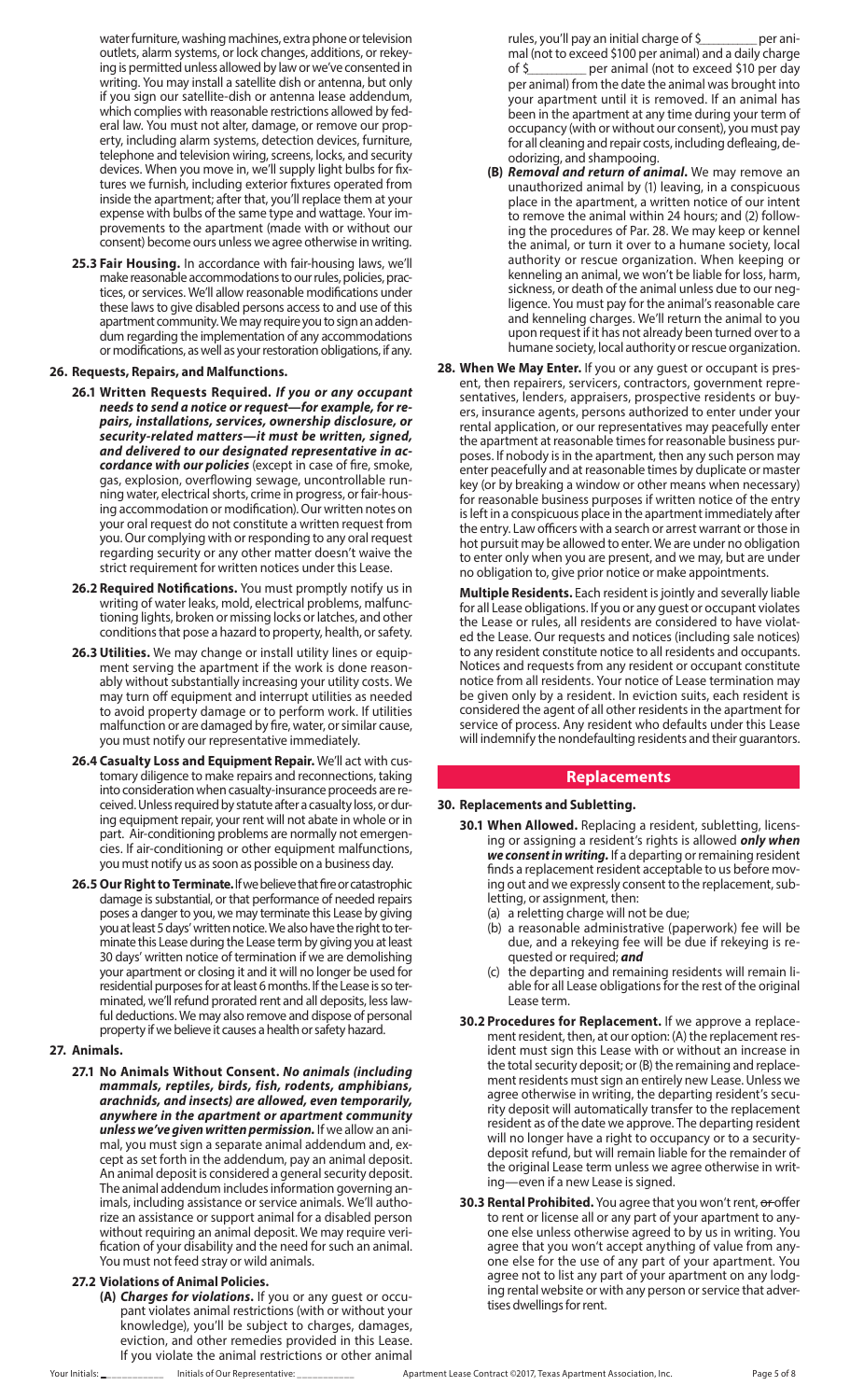water furniture, washing machines, extra phone or television outlets, alarm systems, or lock changes, additions, or rekeying is permitted unless allowed by law or we've consented in writing. You may install a satellite dish or antenna, but only if you sign our satellite-dish or antenna lease addendum, which complies with reasonable restrictions allowed by federal law. You must not alter, damage, or remove our property, including alarm systems, detection devices, furniture, telephone and television wiring, screens, locks, and security devices. When you move in, we'll supply light bulbs for fixtures we furnish, including exterior fixtures operated from inside the apartment; after that, you'll replace them at your expense with bulbs of the same type and wattage. Your improvements to the apartment (made with or without our consent) become ours unless we agree otherwise in writing.

**25.3 Fair Housing.** In accordance with fair-housing laws, we'll make reasonable accommodations to our rules, policies, practices, or services. We'll allow reasonable modifications under these laws to give disabled persons access to and use of this apartment community. We may require you to sign an addendum regarding the implementation of any accommodations or modifications, as well as your restoration obligations, if any.

#### **26. Requests, Repairs, and Malfunctions.**

- **26.1 Written Requests Required.** *If you or any occupant needs to send a notice or request—for example, for repairs, installations, services, ownership disclosure, or security-related matters—it must be written, signed, and delivered to our designated representative in accordance with our policies* (except in case of fire, smoke, gas, explosion, overflowing sewage, uncontrollable running water, electrical shorts, crime in progress, or fair-housing accommodation or modification). Our written notes on your oral request do not constitute a written request from you. Our complying with or responding to any oral request regarding security or any other matter doesn't waive the strict requirement for written notices under this Lease.
- **26.2 Required Notifications.** You must promptly notify us in writing of water leaks, mold, electrical problems, malfunctioning lights, broken or missing locks or latches, and other conditions that pose a hazard to property, health, or safety.
- **26.3Utilities.** We may change or install utility lines or equipment serving the apartment if the work is done reasonably without substantially increasing your utility costs. We may turn off equipment and interrupt utilities as needed to avoid property damage or to perform work. If utilities malfunction or are damaged by fire, water, or similar cause, you must notify our representative immediately.
- **26.4 Casualty Loss and Equipment Repair.** We'll act with customary diligence to make repairs and reconnections, taking into consideration when casualty-insurance proceeds are received. Unless required by statute after a casualty loss, or during equipment repair, your rent will not abate in whole or in part. Air-conditioning problems are normally not emergencies. If air-conditioning or other equipment malfunctions, you must notify us as soon as possible on a business day.
- **26.5 Our Right to Terminate.** If we believe that fire or catastrophic damage is substantial, or that performance of needed repairs poses a danger to you, we may terminate this Lease by giving you at least 5 days' written notice. We also have the right to terminate this Lease during the Lease term by giving you at least 30 days' written notice of termination if we are demolishing your apartment or closing it and it will no longer be used for residential purposes for at least 6 months. If the Lease is so terminated, we'll refund prorated rent and all deposits, less lawful deductions. We may also remove and dispose of personal property if we believe it causes a health or safety hazard.

### **27. Animals.**

- **27.1 No Animals Without Consent.** *No animals (including mammals, reptiles, birds, fish, rodents, amphibians, arachnids, and insects) are allowed, even temporarily, anywhere in the apartment or apartment community unless we've given written permission.* If we allow an animal, you must sign a separate animal addendum and, except as set forth in the addendum, pay an animal deposit. An animal deposit is considered a general security deposit. The animal addendum includes information governing animals, including assistance or service animals. We'll authorize an assistance or support animal for a disabled person without requiring an animal deposit. We may require verification of your disability and the need for such an animal. You must not feed stray or wild animals.
- **27.2 Violations of Animal Policies.**
	- **(A)** *Charges for violations***.** If you or any guest or occupant violates animal restrictions (with or without your knowledge), you'll be subject to charges, damages, eviction, and other remedies provided in this Lease. If you violate the animal restrictions or other animal

rules, you'll pay an initial charge of \$\_\_\_\_\_\_\_\_\_\_\_\_ per animal (not to exceed \$100 per animal) and a daily charge of \$\_\_\_\_\_\_\_\_\_\_\_\_ per animal (not to exceed \$10 per day per animal) from the date the animal was brought into your apartment until it is removed. If an animal has been in the apartment at any time during your term of occupancy (with or without our consent), you must pay for all cleaning and repair costs, including defleaing, deodorizing, and shampooing.

- **(B)** *Removal and return of animal***.** We may remove an unauthorized animal by (1) leaving, in a conspicuous place in the apartment, a written notice of our intent to remove the animal within 24 hours; and (2) following the procedures of Par. 28. We may keep or kennel the animal, or turn it over to a humane society, local authority or rescue organization. When keeping or kenneling an animal, we won't be liable for loss, harm, sickness, or death of the animal unless due to our negligence. You must pay for the animal's reasonable care and kenneling charges. We'll return the animal to you upon request if it has not already been turned over to a humane society, local authority or rescue organization.
- **28. When We May Enter.** If you or any guest or occupant is present, then repairers, servicers, contractors, government representatives, lenders, appraisers, prospective residents or buyers, insurance agents, persons authorized to enter under your rental application, or our representatives may peacefully enter the apartment at reasonable times for reasonable business purposes. If nobody is in the apartment, then any such person may enter peacefully and at reasonable times by duplicate or master key (or by breaking a window or other means when necessary) for reasonable business purposes if written notice of the entry is left in a conspicuous place in the apartment immediately after the entry. Law officers with a search or arrest warrant or those in hot pursuit may be allowed to enter. We are under no obligation to enter only when you are present, and we may, but are under no obligation to, give prior notice or make appointments.

**Multiple Residents.** Each resident is jointly and severally liable for all Lease obligations. If you or any guest or occupant violates the Lease or rules, all residents are considered to have violated the Lease. Our requests and notices (including sale notices) to any resident constitute notice to all residents and occupants. Notices and requests from any resident or occupant constitute notice from all residents. Your notice of Lease termination may be given only by a resident. In eviction suits, each resident is considered the agent of all other residents in the apartment for service of process. Any resident who defaults under this Lease will indemnify the nondefaulting residents and their guarantors.

### **Replacements**

#### **30. Replacements and Subletting.**

- **30.1 When Allowed.** Replacing a resident, subletting, licensing or assigning a resident's rights is allowed *only when we consent in writing.* If a departing or remaining resident finds a replacement resident acceptable to us before moving out and we expressly consent to the replacement, subletting, or assignment, then:
	- (a) a reletting charge will not be due;
	- (b) a reasonable administrative (paperwork) fee will be due, and a rekeying fee will be due if rekeying is requested or required; *and*
	- (c) the departing and remaining residents will remain liable for all Lease obligations for the rest of the original Lease term.
- **30.2 Procedures for Replacement.** If we approve a replacement resident, then, at our option: (A) the replacement resident must sign this Lease with or without an increase in the total security deposit; or (B) the remaining and replacement residents must sign an entirely new Lease. Unless we agree otherwise in writing, the departing resident's security deposit will automatically transfer to the replacement resident as of the date we approve. The departing resident will no longer have a right to occupancy or to a securitydeposit refund, but will remain liable for the remainder of the original Lease term unless we agree otherwise in writing—even if a new Lease is signed.
- **30.3 Rental Prohibited.** You agree that you won't rent, or offer to rent or license all or any part of your apartment to anyone else unless otherwise agreed to by us in writing. You agree that you won't accept anything of value from anyone else for the use of any part of your apartment. You agree not to list any part of your apartment on any lodging rental website or with any person or service that advertises dwellings for rent.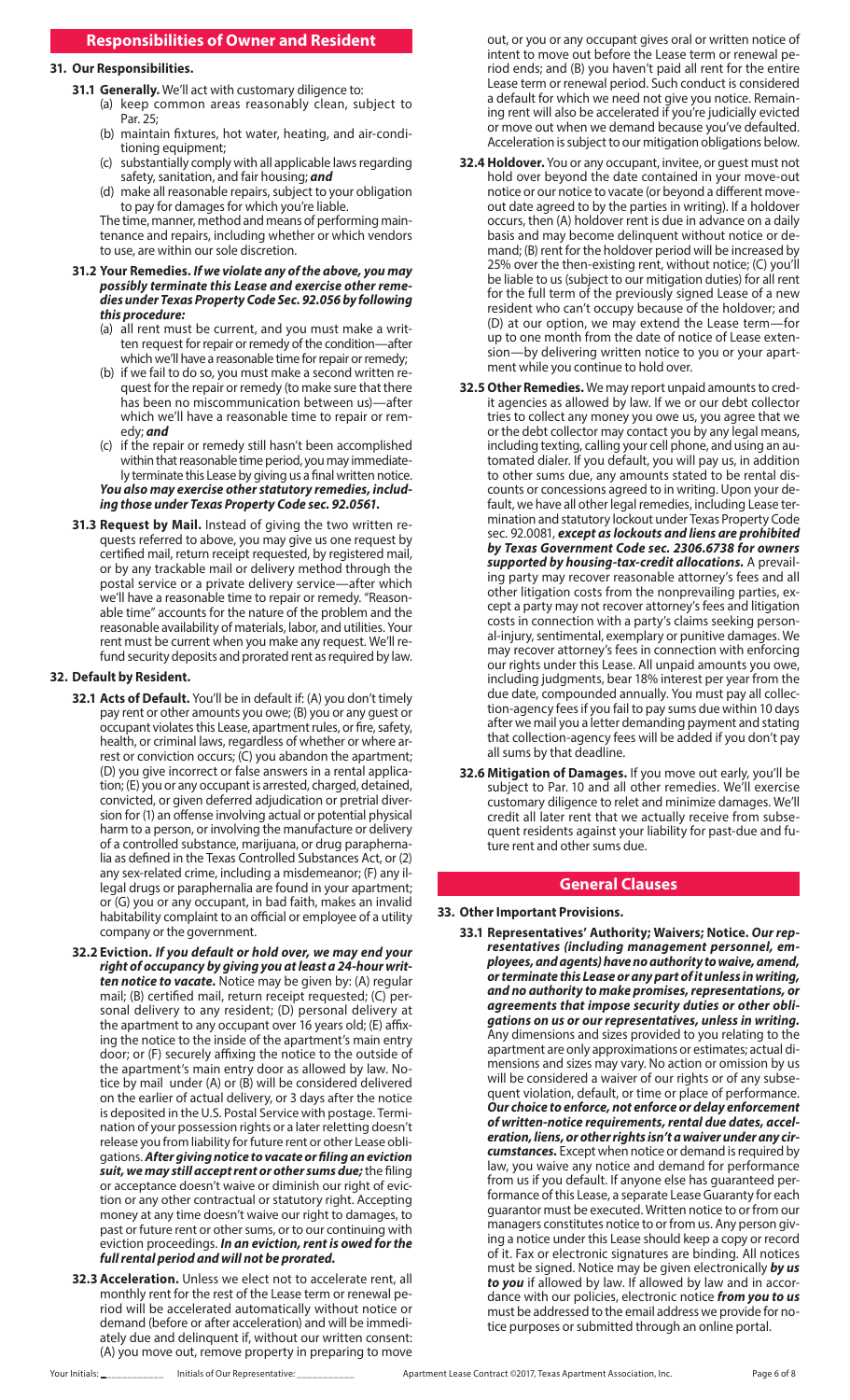# **Responsibilities of Owner and Resident**

### **31. Our Responsibilities.**

- **31.1 Generally.** We'll act with customary diligence to:
	- (a) keep common areas reasonably clean, subject to Par. 25;
	- (b) maintain fixtures, hot water, heating, and air-conditioning equipment;
	- (c) substantially comply with all applicable laws regarding safety, sanitation, and fair housing; *and*
	- (d) make all reasonable repairs, subject to your obligation to pay for damages for which you're liable.

The time, manner, method and means of performing maintenance and repairs, including whether or which vendors to use, are within our sole discretion.

#### **31.2 Your Remedies.** *If we violate any of the above, you may possibly terminate this Lease and exercise other remedies under Texas Property Code Sec. 92.056 by following this procedure:*

- (a) all rent must be current, and you must make a written request for repair or remedy of the condition—after which we'll have a reasonable time for repair or remedy;
- (b) if we fail to do so, you must make a second written request for the repair or remedy (to make sure that there has been no miscommunication between us)—after which we'll have a reasonable time to repair or remedy; *and*
- (c) if the repair or remedy still hasn't been accomplished within that reasonable time period, you may immediately terminate this Lease by giving us a final written notice.

*You also may exercise other statutory remedies, including those under Texas Property Code sec. 92.0561.*

**31.3 Request by Mail.** Instead of giving the two written requests referred to above, you may give us one request by certified mail, return receipt requested, by registered mail, or by any trackable mail or delivery method through the postal service or a private delivery service—after which we'll have a reasonable time to repair or remedy. "Reasonable time" accounts for the nature of the problem and the reasonable availability of materials, labor, and utilities. Your rent must be current when you make any request. We'll refund security deposits and prorated rent as required by law.

#### **32. Default by Resident.**

- **32.1 Acts of Default.** You'll be in default if: (A) you don't timely pay rent or other amounts you owe; (B) you or any guest or occupant violates this Lease, apartment rules, or fire, safety, health, or criminal laws, regardless of whether or where arrest or conviction occurs; (C) you abandon the apartment; (D) you give incorrect or false answers in a rental application; (E) you or any occupant is arrested, charged, detained, convicted, or given deferred adjudication or pretrial diversion for (1) an offense involving actual or potential physical harm to a person, or involving the manufacture or delivery of a controlled substance, marijuana, or drug paraphernalia as defined in the Texas Controlled Substances Act, or (2) any sex-related crime, including a misdemeanor; (F) any illegal drugs or paraphernalia are found in your apartment; or (G) you or any occupant, in bad faith, makes an invalid habitability complaint to an official or employee of a utility company or the government.
- **32.2 Eviction.** *If you default or hold over, we may end your right of occupancy by giving you at least a 24-hour written notice to vacate.* Notice may be given by: (A) regular mail; (B) certified mail, return receipt requested; (C) personal delivery to any resident; (D) personal delivery at the apartment to any occupant over 16 years old; (E) affixing the notice to the inside of the apartment's main entry door; or (F) securely affixing the notice to the outside of the apartment's main entry door as allowed by law. Notice by mail under (A) or (B) will be considered delivered on the earlier of actual delivery, or 3 days after the notice is deposited in the U.S. Postal Service with postage. Termination of your possession rights or a later reletting doesn't release you from liability for future rent or other Lease obligations. *After giving notice to vacate or filing an eviction suit, we may still accept rent or other sums due;* the filing or acceptance doesn't waive or diminish our right of eviction or any other contractual or statutory right. Accepting money at any time doesn't waive our right to damages, to past or future rent or other sums, or to our continuing with eviction proceedings. *In an eviction, rent is owed for the full rental period and will not be prorated.*
- **32.3 Acceleration.** Unless we elect not to accelerate rent, all monthly rent for the rest of the Lease term or renewal period will be accelerated automatically without notice or demand (before or after acceleration) and will be immediately due and delinquent if, without our written consent: (A) you move out, remove property in preparing to move

out, or you or any occupant gives oral or written notice of intent to move out before the Lease term or renewal period ends; and (B) you haven't paid all rent for the entire Lease term or renewal period. Such conduct is considered a default for which we need not give you notice. Remaining rent will also be accelerated if you're judicially evicted or move out when we demand because you've defaulted. Acceleration is subject to our mitigation obligations below.

- **32.4 Holdover.** You or any occupant, invitee, or guest must not hold over beyond the date contained in your move-out notice or our notice to vacate (or beyond a different moveout date agreed to by the parties in writing). If a holdover occurs, then (A) holdover rent is due in advance on a daily basis and may become delinquent without notice or demand; (B) rent for the holdover period will be increased by 25% over the then-existing rent, without notice; (C) you'll be liable to us (subject to our mitigation duties) for all rent for the full term of the previously signed Lease of a new resident who can't occupy because of the holdover; and (D) at our option, we may extend the Lease term—for up to one month from the date of notice of Lease extension—by delivering written notice to you or your apartment while you continue to hold over.
- **32.5 Other Remedies.** We may report unpaid amounts to credit agencies as allowed by law. If we or our debt collector tries to collect any money you owe us, you agree that we or the debt collector may contact you by any legal means, including texting, calling your cell phone, and using an automated dialer. If you default, you will pay us, in addition to other sums due, any amounts stated to be rental discounts or concessions agreed to in writing. Upon your default, we have all other legal remedies, including Lease termination and statutory lockout under Texas Property Code sec. 92.0081, *except as lockouts and liens are prohibited by Texas Government Code sec. 2306.6738 for owners supported by housing-tax-credit allocations.* A prevailing party may recover reasonable attorney's fees and all other litigation costs from the nonprevailing parties, except a party may not recover attorney's fees and litigation costs in connection with a party's claims seeking personal-injury, sentimental, exemplary or punitive damages. We may recover attorney's fees in connection with enforcing our rights under this Lease. All unpaid amounts you owe, including judgments, bear 18% interest per year from the due date, compounded annually. You must pay all collection-agency fees if you fail to pay sums due within 10 days after we mail you a letter demanding payment and stating that collection-agency fees will be added if you don't pay all sums by that deadline.
- **32.6 Mitigation of Damages.** If you move out early, you'll be subject to Par. 10 and all other remedies. We'll exercise customary diligence to relet and minimize damages. We'll credit all later rent that we actually receive from subsequent residents against your liability for past-due and future rent and other sums due.

### **General Clauses**

#### **33. Other Important Provisions.**

**33.1 Representatives' Authority; Waivers; Notice.** *Our representatives (including management personnel, employees, and agents) have no authority to waive, amend, or terminate this Lease or any part of it unless in writing, and no authority to make promises, representations, or agreements that impose security duties or other obligations on us or our representatives, unless in writing.* Any dimensions and sizes provided to you relating to the apartment are only approximations or estimates; actual dimensions and sizes may vary. No action or omission by us will be considered a waiver of our rights or of any subsequent violation, default, or time or place of performance. *Our choice to enforce, not enforce or delay enforcement of written-notice requirements, rental due dates, acceleration, liens, or other rights isn't a waiver under any circumstances.* Except when notice or demand is required by law, you waive any notice and demand for performance from us if you default. If anyone else has guaranteed performance of this Lease, a separate Lease Guaranty for each guarantor must be executed. Written notice to or from our managers constitutes notice to or from us. Any person giving a notice under this Lease should keep a copy or record of it. Fax or electronic signatures are binding. All notices must be signed. Notice may be given electronically *by us to you* if allowed by law. If allowed by law and in accordance with our policies, electronic notice *from you to us* must be addressed to the email address we provide for notice purposes or submitted through an online portal.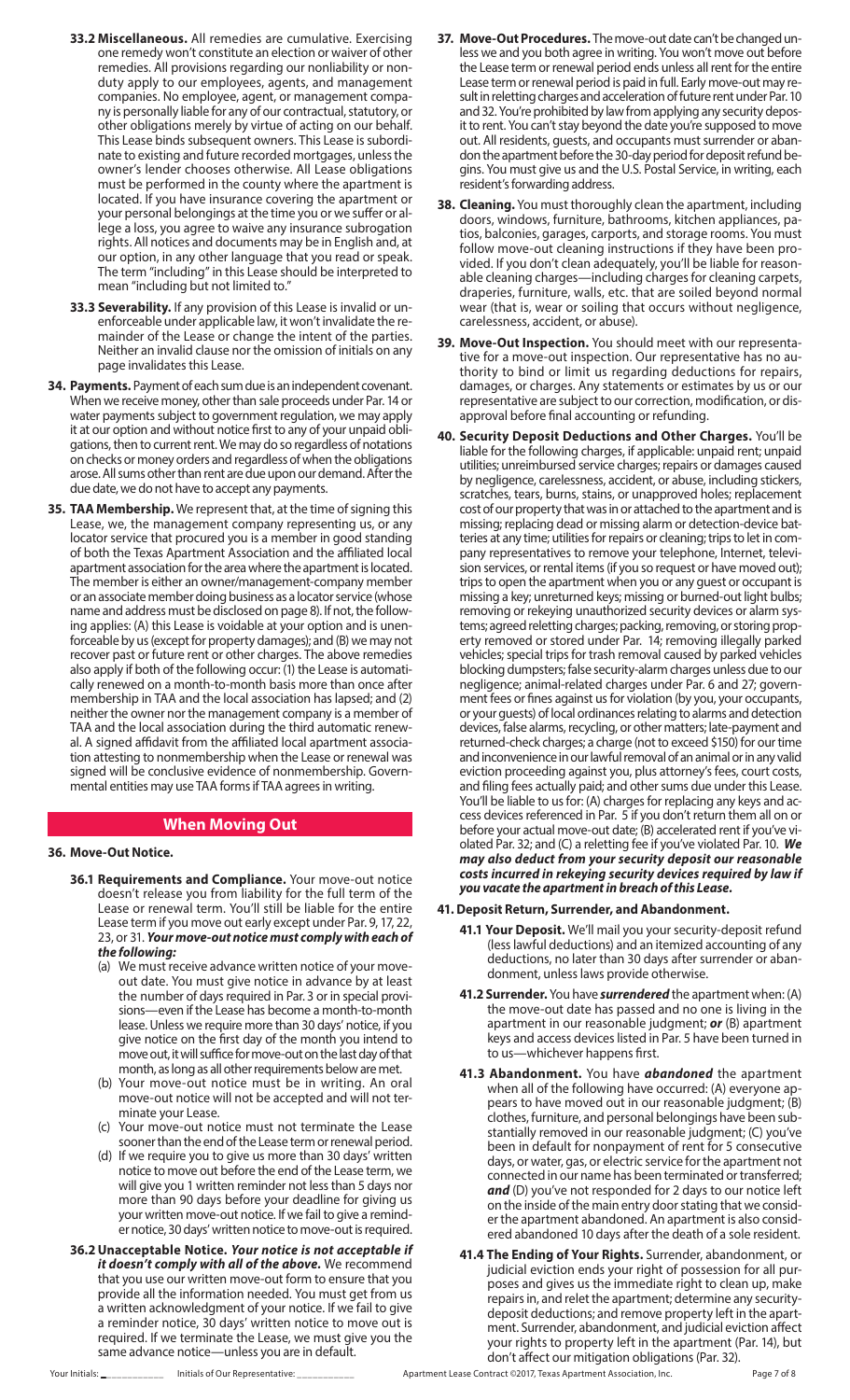- **33.2 Miscellaneous.** All remedies are cumulative. Exercising one remedy won't constitute an election or waiver of other remedies. All provisions regarding our nonliability or nonduty apply to our employees, agents, and management companies. No employee, agent, or management company is personally liable for any of our contractual, statutory, or other obligations merely by virtue of acting on our behalf. This Lease binds subsequent owners. This Lease is subordinate to existing and future recorded mortgages, unless the owner's lender chooses otherwise. All Lease obligations must be performed in the county where the apartment is located. If you have insurance covering the apartment or your personal belongings at the time you or we suffer or allege a loss, you agree to waive any insurance subrogation rights. All notices and documents may be in English and, at our option, in any other language that you read or speak. The term "including" in this Lease should be interpreted to mean "including but not limited to."
- **33.3 Severability.** If any provision of this Lease is invalid or unenforceable under applicable law, it won't invalidate the remainder of the Lease or change the intent of the parties. Neither an invalid clause nor the omission of initials on any page invalidates this Lease.
- **34. Payments.** Payment of each sum due is an independent covenant. When we receive money, other than sale proceeds under Par. 14 or water payments subject to government regulation, we may apply it at our option and without notice first to any of your unpaid obligations, then to current rent. We may do so regardless of notations on checks or money orders and regardless of when the obligations arose. All sums other than rent are due upon our demand. After the due date, we do not have to accept any payments.
- **35. TAA Membership.** We represent that, at the time of signing this Lease, we, the management company representing us, or any locator service that procured you is a member in good standing of both the Texas Apartment Association and the affiliated local apartment association for the area where the apartment is located. The member is either an owner/management-company member or an associate member doing business as a locator service (whose name and address must be disclosed on page 8). If not, the following applies: (A) this Lease is voidable at your option and is unenforceable by us (except for property damages); and (B) we may not recover past or future rent or other charges. The above remedies also apply if both of the following occur: (1) the Lease is automatically renewed on a month-to-month basis more than once after membership in TAA and the local association has lapsed; and (2) neither the owner nor the management company is a member of TAA and the local association during the third automatic renewal. A signed affidavit from the affiliated local apartment association attesting to nonmembership when the Lease or renewal was signed will be conclusive evidence of nonmembership. Governmental entities may use TAA forms if TAA agrees in writing.

### **When Moving Out**

#### **36. Move-Out Notice.**

- **36.1 Requirements and Compliance.** Your move-out notice doesn't release you from liability for the full term of the Lease or renewal term. You'll still be liable for the entire Lease term if you move out early except under Par. 9, 17, 22, 23, or 31. *Your move-out notice must comply with each of the following:*
	- (a) We must receive advance written notice of your moveout date. You must give notice in advance by at least the number of days required in Par. 3 or in special provisions—even if the Lease has become a month-to-month lease. Unless we require more than 30 days' notice, if you give notice on the first day of the month you intend to move out, it will suffice for move-out on the last day of that month, as long as all other requirements below are met.
	- (b) Your move-out notice must be in writing. An oral move-out notice will not be accepted and will not terminate your Lease.
	- Your move-out notice must not terminate the Lease sooner than the end of the Lease term or renewal period.
	- (d) If we require you to give us more than 30 days' written notice to move out before the end of the Lease term, we will give you 1 written reminder not less than 5 days nor more than 90 days before your deadline for giving us your written move-out notice. If we fail to give a reminder notice, 30 days' written notice to move-out is required.
- **36.2Unacceptable Notice.** *Your notice is not acceptable if it doesn't comply with all of the above.* We recommend that you use our written move-out form to ensure that you provide all the information needed. You must get from us a written acknowledgment of your notice. If we fail to give a reminder notice, 30 days' written notice to move out is required. If we terminate the Lease, we must give you the same advance notice—unless you are in default.
- **37. Move-Out Procedures.** The move-out date can't be changed unless we and you both agree in writing. You won't move out before the Lease term or renewal period ends unless all rent for the entire Lease term or renewal period is paid in full. Early move-out may result in reletting charges and acceleration of future rent under Par. 10 and 32. You're prohibited by law from applying any security deposit to rent. You can't stay beyond the date you're supposed to move out. All residents, guests, and occupants must surrender or abandon the apartment before the 30-day period for deposit refund begins. You must give us and the U.S. Postal Service, in writing, each resident's forwarding address.
- **38. Cleaning.** You must thoroughly clean the apartment, including doors, windows, furniture, bathrooms, kitchen appliances, patios, balconies, garages, carports, and storage rooms. You must follow move-out cleaning instructions if they have been provided. If you don't clean adequately, you'll be liable for reasonable cleaning charges—including charges for cleaning carpets, draperies, furniture, walls, etc. that are soiled beyond normal wear (that is, wear or soiling that occurs without negligence, carelessness, accident, or abuse).
- **39. Move-Out Inspection.** You should meet with our representative for a move-out inspection. Our representative has no authority to bind or limit us regarding deductions for repairs, damages, or charges. Any statements or estimates by us or our representative are subject to our correction, modification, or disapproval before final accounting or refunding.
- **40. Security Deposit Deductions and Other Charges.** You'll be liable for the following charges, if applicable: unpaid rent; unpaid utilities; unreimbursed service charges; repairs or damages caused by negligence, carelessness, accident, or abuse, including stickers, scratches, tears, burns, stains, or unapproved holes; replacement cost of our property that was in or attached to the apartment and is missing; replacing dead or missing alarm or detection-device batteries at any time; utilities for repairs or cleaning; trips to let in company representatives to remove your telephone, Internet, television services, or rental items (if you so request or have moved out); trips to open the apartment when you or any guest or occupant is missing a key; unreturned keys; missing or burned-out light bulbs; removing or rekeying unauthorized security devices or alarm systems; agreed reletting charges; packing, removing, or storing property removed or stored under Par. 14; removing illegally parked vehicles; special trips for trash removal caused by parked vehicles blocking dumpsters; false security-alarm charges unless due to our negligence; animal-related charges under Par. 6 and 27; government fees or fines against us for violation (by you, your occupants, or your guests) of local ordinances relating to alarms and detection devices, false alarms, recycling, or other matters; late-payment and returned-check charges; a charge (not to exceed \$150) for our time and inconvenience in our lawful removal of an animal or in any valid eviction proceeding against you, plus attorney's fees, court costs, and filing fees actually paid; and other sums due under this Lease. You'll be liable to us for: (A) charges for replacing any keys and access devices referenced in Par. 5 if you don't return them all on or before your actual move-out date; (B) accelerated rent if you've violated Par. 32; and (C) a reletting fee if you've violated Par. 10. *We may also deduct from your security deposit our reasonable costs incurred in rekeying security devices required by law if you vacate the apartment in breach of this Lease.*

#### **41. Deposit Return, Surrender, and Abandonment.**

- **41.1 Your Deposit.** We'll mail you your security-deposit refund (less lawful deductions) and an itemized accounting of any deductions, no later than 30 days after surrender or abandonment, unless laws provide otherwise.
- **41.2 Surrender.** You have *surrendered* the apartment when: (A) the move-out date has passed and no one is living in the apartment in our reasonable judgment; *or* (B) apartment keys and access devices listed in Par. 5 have been turned in to us—whichever happens first.
- **41.3 Abandonment.** You have *abandoned* the apartment when all of the following have occurred: (A) everyone appears to have moved out in our reasonable judgment; (B) clothes, furniture, and personal belongings have been substantially removed in our reasonable judgment; (C) you've been in default for nonpayment of rent for 5 consecutive days, or water, gas, or electric service for the apartment not connected in our name has been terminated or transferred; *and* (D) you've not responded for 2 days to our notice left on the inside of the main entry door stating that we consider the apartment abandoned. An apartment is also considered abandoned 10 days after the death of a sole resident.
- **41.4 The Ending of Your Rights.** Surrender, abandonment, or judicial eviction ends your right of possession for all purposes and gives us the immediate right to clean up, make repairs in, and relet the apartment; determine any securitydeposit deductions; and remove property left in the apartment. Surrender, abandonment, and judicial eviction affect your rights to property left in the apartment (Par. 14), but don't affect our mitigation obligations (Par. 32).